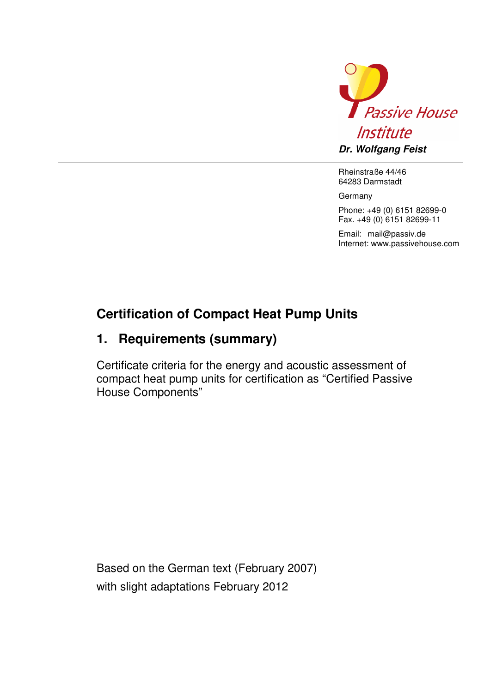

Rheinstraße 44/46 64283 Darmstadt

Germany

Phone: +49 (0) 6151 82699-0 Fax. +49 (0) 6151 82699-11

Email: mail@passiv.de Internet: www.passivehouse.com

## **Certification of Compact Heat Pump Units**

## **1. Requirements (summary)**

Certificate criteria for the energy and acoustic assessment of compact heat pump units for certification as "Certified Passive House Components"

Based on the German text (February 2007) with slight adaptations February 2012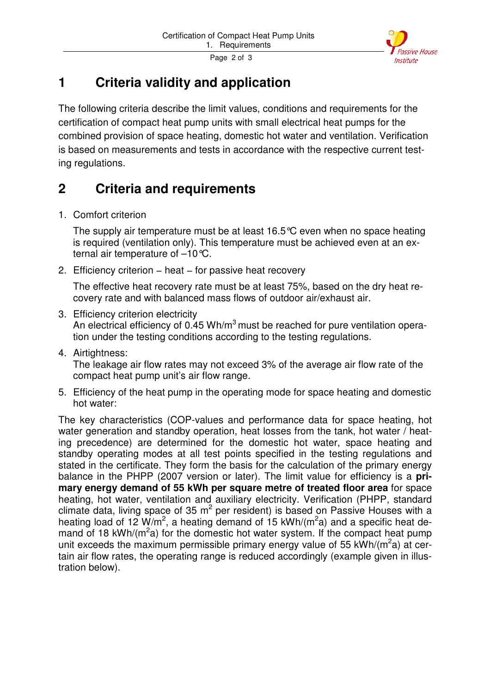

Page 2 of 3

## **1 Criteria validity and application**

The following criteria describe the limit values, conditions and requirements for the certification of compact heat pump units with small electrical heat pumps for the combined provision of space heating, domestic hot water and ventilation. Verification is based on measurements and tests in accordance with the respective current testing regulations.

## **2 Criteria and requirements**

1. Comfort criterion

The supply air temperature must be at least 16.5°C even when no space heating is required (ventilation only). This temperature must be achieved even at an external air temperature of –10°C.

2. Efficiency criterion – heat – for passive heat recovery

The effective heat recovery rate must be at least 75%, based on the dry heat recovery rate and with balanced mass flows of outdoor air/exhaust air.

- 3. Efficiency criterion electricity An electrical efficiency of 0.45 Wh/ $m<sup>3</sup>$  must be reached for pure ventilation operation under the testing conditions according to the testing regulations.
- 4. Airtightness:

The leakage air flow rates may not exceed 3% of the average air flow rate of the compact heat pump unit's air flow range.

5. Efficiency of the heat pump in the operating mode for space heating and domestic hot water:

The key characteristics (COP-values and performance data for space heating, hot water generation and standby operation, heat losses from the tank, hot water / heating precedence) are determined for the domestic hot water, space heating and standby operating modes at all test points specified in the testing regulations and stated in the certificate. They form the basis for the calculation of the primary energy balance in the PHPP (2007 version or later). The limit value for efficiency is a **primary energy demand of 55 kWh per square metre of treated floor area** for space heating, hot water, ventilation and auxiliary electricity. Verification (PHPP, standard climate data, living space of 35 m<sup>2</sup> per resident) is based on Passive Houses with a heating load of 12 W/m<sup>2</sup>, a heating demand of 15 kWh/(m<sup>2</sup>a) and a specific heat demand of 18 kWh/( $m^2$ a) for the domestic hot water system. If the compact heat pump unit exceeds the maximum permissible primary energy value of 55 kWh/(m<sup>2</sup>a) at certain air flow rates, the operating range is reduced accordingly (example given in illustration below).